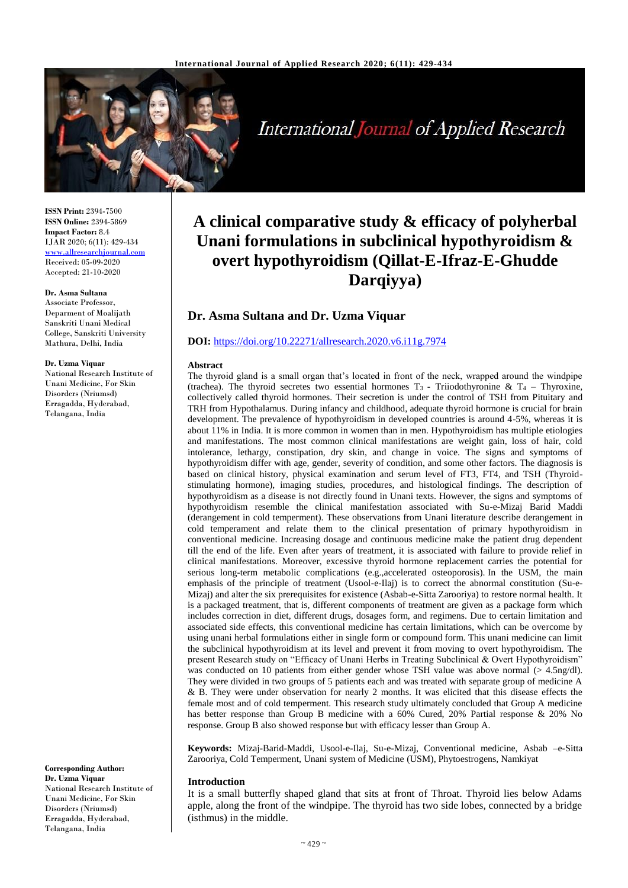

International Journal of Applied Research

**ISSN Print:** 2394-7500 **ISSN Online:** 2394-5869 **Impact Factor:** 8.4 IJAR 2020; 6(11): 429-434 <www.allresearchjournal.com> Received: 05-09-2020 Accepted: 21-10-2020

#### **Dr. Asma Sultana**

Associate Professor, Deparment of Moalijath Sanskriti Unani Medical College, Sanskriti University Mathura, Delhi, India

#### **Dr. Uzma Viquar**

National Research Institute of Unani Medicine, For Skin Disorders (Nriumsd) Erragadda, Hyderabad, Telangana, India

**Corresponding Author: Dr. Uzma Viquar** National Research Institute of Unani Medicine, For Skin Disorders (Nriumsd) Erragadda, Hyderabad, Telangana, India

# **A clinical comparative study & efficacy of polyherbal Unani formulations in subclinical hypothyroidism & overt hypothyroidism (Qillat-E-Ifraz-E-Ghudde Darqiyya)**

# **Dr. Asma Sultana and Dr. Uzma Viquar**

### **DOI:** <https://doi.org/10.22271/allresearch.2020.v6.i11g.7974>

#### **Abstract**

The thyroid gland is a small organ that's located in front of the neck, wrapped around the windpipe (trachea). The thyroid secretes two essential hormones  $T_3$  - Triiodothyronine &  $T_4$  – Thyroxine, collectively called thyroid hormones. Their secretion is under the control of TSH from Pituitary and TRH from Hypothalamus. During infancy and childhood, adequate thyroid hormone is crucial for brain development. The prevalence of hypothyroidism in developed countries is around 4-5%, whereas it is about 11% in India. It is more common in women than in men. Hypothyroidism has multiple etiologies and manifestations. The most common clinical manifestations are weight gain, loss of hair, cold intolerance, lethargy, constipation, dry skin, and change in voice. The signs and symptoms of hypothyroidism differ with age, gender, severity of condition, and some other factors. The diagnosis is based on clinical history, physical examination and serum level of FT3, FT4, and TSH (Thyroidstimulating hormone), imaging studies, procedures, and histological findings. The description of hypothyroidism as a disease is not directly found in Unani texts. However, the signs and symptoms of hypothyroidism resemble the clinical manifestation associated with Su-e-Mizaj Barid Maddi (derangement in cold temperment). These observations from Unani literature describe derangement in cold temperament and relate them to the clinical presentation of primary hypothyroidism in conventional medicine. Increasing dosage and continuous medicine make the patient drug dependent till the end of the life. Even after years of treatment, it is associated with failure to provide relief in clinical manifestations. Moreover, excessive thyroid hormone replacement carries the potential for serious long-term metabolic complications (e.g.,accelerated osteoporosis). In the USM, the main emphasis of the principle of treatment (Usool-e-Ilaj) is to correct the abnormal constitution (Su-e-Mizaj) and alter the six prerequisites for existence (Asbab-e-Sitta Zarooriya) to restore normal health. It is a packaged treatment, that is, different components of treatment are given as a package form which includes correction in diet, different drugs, dosages form, and regimens. Due to certain limitation and associated side effects, this conventional medicine has certain limitations, which can be overcome by using unani herbal formulations either in single form or compound form. This unani medicine can limit the subclinical hypothyroidism at its level and prevent it from moving to overt hypothyroidism. The present Research study on "Efficacy of Unani Herbs in Treating Subclinical & Overt Hypothyroidism" was conducted on 10 patients from either gender whose TSH value was above normal (> 4.5ng/dl). They were divided in two groups of 5 patients each and was treated with separate group of medicine A & B. They were under observation for nearly 2 months. It was elicited that this disease effects the female most and of cold temperment. This research study ultimately concluded that Group A medicine has better response than Group B medicine with a 60% Cured, 20% Partial response & 20% No response. Group B also showed response but with efficacy lesser than Group A.

**Keywords:** Mizaj-Barid-Maddi, Usool-e-Ilaj, Su-e-Mizaj, Conventional medicine, Asbab –e-Sitta Zarooriya, Cold Temperment, Unani system of Medicine (USM), Phytoestrogens, Namkiyat

#### **Introduction**

It is a small butterfly shaped gland that sits at front of Throat. Thyroid lies below Adams apple, along the front of the windpipe. The thyroid has two side lobes, connected by a bridge (isthmus) in the middle.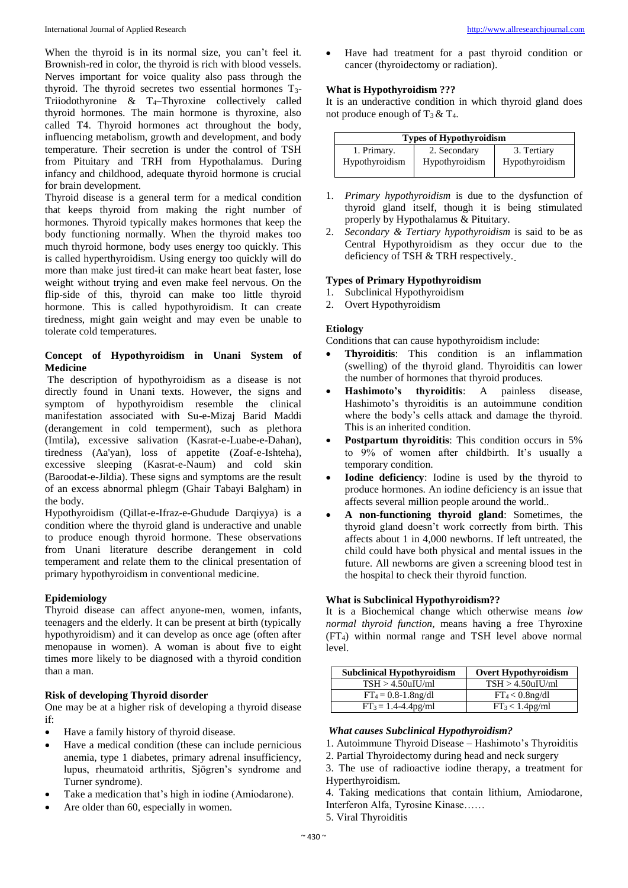When the thyroid is in its normal size, you can't feel it. Brownish-red in color, the thyroid is rich with blood vessels. Nerves important for voice quality also pass through the thyroid. The thyroid secretes two essential hormones  $T_3$ -Triiodothyronine  $\&$  T<sub>4</sub>–Thyroxine collectively called thyroid hormones. The main hormone is thyroxine, also called T4. Thyroid hormones act throughout the body, influencing metabolism, growth and development, and body temperature. Their secretion is under the control of TSH from Pituitary and TRH from Hypothalamus. During infancy and childhood, adequate thyroid hormone is crucial for brain development.

Thyroid disease is a general term for a medical condition that keeps thyroid from making the right number of hormones. Thyroid typically makes hormones that keep the body functioning normally. When the thyroid makes too much thyroid hormone, body uses energy too quickly. This is called hyperthyroidism. Using energy too quickly will do more than make just tired-it can make heart beat faster, lose weight without trying and even make feel nervous. On the flip-side of this, thyroid can make too little thyroid hormone. This is called hypothyroidism. It can create tiredness, might gain weight and may even be unable to tolerate cold temperatures.

# **Concept of Hypothyroidism in Unani System of Medicine**

The description of hypothyroidism as a disease is not directly found in Unani texts. However, the signs and symptom of hypothyroidism resemble the clinical manifestation associated with Su-e-Mizaj Barid Maddi (derangement in cold temperment), such as plethora (Imtila), excessive salivation (Kasrat-e-Luabe-e-Dahan), tiredness (Aa'yan), loss of appetite (Zoaf-e-Ishteha), excessive sleeping (Kasrat-e-Naum) and cold skin (Baroodat-e-Jildia). These signs and symptoms are the result of an excess abnormal phlegm (Ghair Tabayi Balgham) in the body.

Hypothyroidism (Qillat-e-Ifraz-e-Ghudude Darqiyya) is a condition where the thyroid gland is underactive and unable to produce enough thyroid hormone. These observations from Unani literature describe derangement in cold temperament and relate them to the clinical presentation of primary hypothyroidism in conventional medicine.

# **Epidemiology**

Thyroid disease can affect anyone-men, women, infants, teenagers and the elderly. It can be present at birth (typically hypothyroidism) and it can develop as once age (often after menopause in women). A woman is about five to eight times more likely to be diagnosed with a thyroid condition than a man.

#### **Risk of developing Thyroid disorder**

One may be at a higher risk of developing a thyroid disease if:

- Have a family history of thyroid disease.
- Have a medical condition (these can include pernicious anemia, type 1 diabetes, primary adrenal insufficiency, lupus, rheumatoid arthritis, Sjögren's syndrome and Turner syndrome).
- Take a medication that's high in iodine (Amiodarone).
- Are older than 60, especially in women.

 Have had treatment for a past thyroid condition or cancer (thyroidectomy or radiation).

#### **What is Hypothyroidism ???**

It is an underactive condition in which thyroid gland does not produce enough of  $T_3 \& T_4$ .

| <b>Types of Hypothyroidism</b> |                |                |  |
|--------------------------------|----------------|----------------|--|
| 1. Primary.                    | 2. Secondary   | 3. Tertiary    |  |
| Hypothyroidism                 | Hypothyroidism | Hypothyroidism |  |

- 1. *Primary hypothyroidism* is due to the dysfunction of thyroid gland itself, though it is being stimulated properly by Hypothalamus & Pituitary.
- 2. *Secondary & Tertiary hypothyroidism* is said to be as Central Hypothyroidism as they occur due to the deficiency of TSH & TRH respectively.

#### **Types of Primary Hypothyroidism**

- 1. Subclinical Hypothyroidism
- 2. Overt Hypothyroidism

#### **Etiology**

Conditions that can cause hypothyroidism include:

- **Thyroiditis**: This condition is an inflammation (swelling) of the thyroid gland. Thyroiditis can lower the number of hormones that thyroid produces.
- **Hashimoto's thyroiditis**: A painless disease, Hashimoto's thyroiditis is an autoimmune condition where the body's cells attack and damage the thyroid. This is an inherited condition.
- **Postpartum thyroiditis**: This condition occurs in 5% to 9% of women after childbirth. It's usually a temporary condition.
- **Iodine deficiency**: Iodine is used by the thyroid to produce hormones. An iodine deficiency is an issue that affects several million people around the world..
- **A non-functioning thyroid gland**: Sometimes, the thyroid gland doesn't work correctly from birth. This affects about 1 in 4,000 newborns. If left untreated, the child could have both physical and mental issues in the future. All newborns are given a screening blood test in the hospital to check their thyroid function.

# **What is Subclinical Hypothyroidism??**

It is a Biochemical change which otherwise means *low normal thyroid function,* means having a free Thyroxine (FT4) within normal range and TSH level above normal level.

| <b>Subclinical Hypothyroidism</b> | <b>Overt Hypothyroidism</b>             |
|-----------------------------------|-----------------------------------------|
| $TSH > 4.50$ uIU/ml               | $TSH > 4.50$ uIU/ml                     |
| $FT_4 = 0.8 - 1.8$ ng/dl          | $FT_4 < 0.8$ ng/dl                      |
| $FT_3 = 1.4 - 4.4$ pg/ml          | FT <sub>3</sub> < 1.4 <sub>pg</sub> /ml |

#### *What causes Subclinical Hypothyroidism?*

- 1. Autoimmune Thyroid Disease Hashimoto's Thyroiditis
- 2. Partial Thyroidectomy during head and neck surgery
- 3. The use of radioactive iodine therapy, a treatment for Hyperthyroidism.

4. Taking medications that contain lithium, Amiodarone, Interferon Alfa, Tyrosine Kinase……

5. Viral Thyroiditis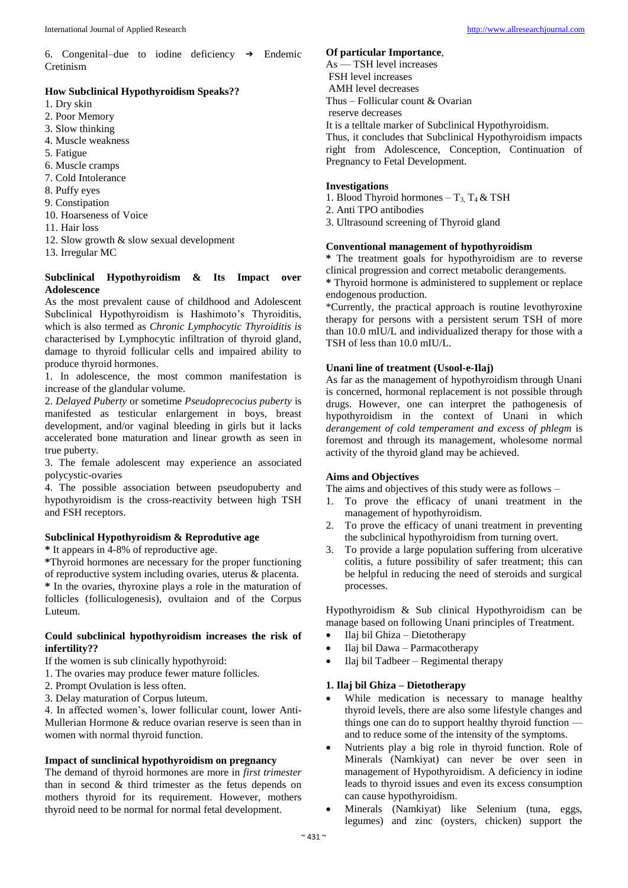6. Congenital–due to iodine deficiency  $\rightarrow$  Endemic Cretinism

# **How Subclinical Hypothyroidism Speaks??**

- 1. Dry skin
- 2. Poor Memory
- 3. Slow thinking
- 4. Muscle weakness
- 5. Fatigue
- 6. Muscle cramps
- 7. Cold Intolerance
- 8. Puffy eyes
- 9. Constipation
- 10. Hoarseness of Voice
- 11. Hair loss
- 12. Slow growth & slow sexual development
- 13. Irregular MC

# **Subclinical Hypothyroidism & Its Impact over Adolescence**

As the most prevalent cause of childhood and Adolescent Subclinical Hypothyroidism is Hashimoto's Thyroiditis, which is also termed as *Chronic Lymphocytic Thyroiditis is*  characterised by Lymphocytic infiltration of thyroid gland, damage to thyroid follicular cells and impaired ability to produce thyroid hormones.

1. In adolescence, the most common manifestation is increase of the glandular volume.

2. *Delayed Puberty* or sometime *Pseudoprecocius puberty* is manifested as testicular enlargement in boys, breast development, and/or vaginal bleeding in girls but it lacks accelerated bone maturation and linear growth as seen in true puberty.

3. The female adolescent may experience an associated polycystic-ovaries

4. The possible association between pseudopuberty and hypothyroidism is the cross-reactivity between high TSH and FSH receptors.

# **Subclinical Hypothyroidism & Reprodutive age**

**\*** It appears in 4-8% of reproductive age.

**\***Thyroid hormones are necessary for the proper functioning of reproductive system including ovaries, uterus & placenta. **\*** In the ovaries, thyroxine plays a role in the maturation of follicles (folliculogenesis), ovultaion and of the Corpus Luteum.

# **Could subclinical hypothyroidism increases the risk of infertility??**

If the women is sub clinically hypothyroid:

- 1. The ovaries may produce fewer mature follicles.
- 2. Prompt Ovulation is less often.
- 3. Delay maturation of Corpus luteum.

4. In affected women's, lower follicular count, lower Anti-Mullerian Hormone & reduce ovarian reserve is seen than in women with normal thyroid function.

# **Impact of sunclinical hypothyroidism on pregnancy**

The demand of thyroid hormones are more in *first trimester*  than in second & third trimester as the fetus depends on mothers thyroid for its requirement. However, mothers thyroid need to be normal for normal fetal development.

# **Of particular Importance**,

As — TSH level increases FSH level increases AMH level decreases Thus – Follicular count & Ovarian reserve decreases It is a telltale marker of Subclinical Hypothyroidism. Thus, it concludes that Subclinical Hypothyroidism impacts right from Adolescence, Conception, Continuation of Pregnancy to Fetal Development.

# **Investigations**

- 1. Blood Thyroid hormones  $-$  T<sub>3,</sub> T<sub>4</sub> & TSH
- 2. Anti TPO antibodies
- 3. Ultrasound screening of Thyroid gland

# **Conventional management of hypothyroidism**

**\*** The treatment goals for hypothyroidism are to reverse clinical progression and correct metabolic derangements.

**\*** Thyroid hormone is administered to supplement or replace endogenous production.

\*Currently, the practical approach is routine levothyroxine therapy for persons with a persistent serum TSH of more than 10.0 mIU/L and individualized therapy for those with a TSH of less than 10.0 mIU/L.

# **Unani line of treatment (Usool-e-Ilaj)**

As far as the management of hypothyroidism through Unani is concerned, hormonal replacement is not possible through drugs. However, one can interpret the pathogenesis of hypothyroidism in the context of Unani in which *derangement of cold temperament and excess of phlegm* is foremost and through its management, wholesome normal activity of the thyroid gland may be achieved.

# **Aims and Objectives**

The aims and objectives of this study were as follows –

- 1. To prove the efficacy of unani treatment in the management of hypothyroidism.
- 2. To prove the efficacy of unani treatment in preventing the subclinical hypothyroidism from turning overt.
- 3. To provide a large population suffering from ulcerative colitis, a future possibility of safer treatment; this can be helpful in reducing the need of steroids and surgical processes.

Hypothyroidism & Sub clinical Hypothyroidism can be manage based on following Unani principles of Treatment.

- Ilaj bil Ghiza Dietotherapy
- Ilaj bil Dawa Parmacotherapy
- Ilaj bil Tadbeer Regimental therapy

# **1. Ilaj bil Ghiza – Dietotherapy**

- While medication is necessary to manage healthy thyroid levels, there are also some lifestyle changes and things one can do to support healthy thyroid function and to reduce some of the intensity of the symptoms.
- Nutrients play a big role in thyroid function. Role of Minerals (Namkiyat) can never be over seen in management of Hypothyroidism. A deficiency in iodine leads to thyroid issues and even its excess consumption can cause hypothyroidism.
- Minerals (Namkiyat) like Selenium (tuna, eggs, legumes) and zinc (oysters, chicken) support the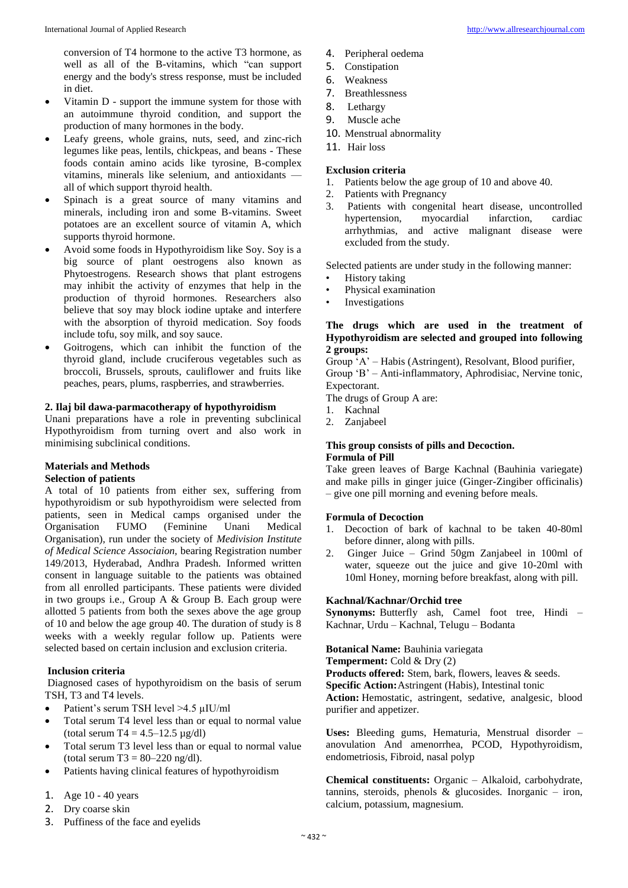conversion of T4 hormone to the active T3 hormone, as well as all of the B-vitamins, which "can support energy and the body's stress response, must be included in diet.

- Vitamin D support the immune system for those with an autoimmune thyroid condition, and support the production of many hormones in the body.
- Leafy greens, whole grains, nuts, seed, and zinc-rich legumes like peas, lentils, chickpeas, and beans - These foods contain amino acids like tyrosine, B-complex vitamins, minerals like selenium, and antioxidants all of which support thyroid health.
- Spinach is a great source of many vitamins and minerals, including iron and some B-vitamins. Sweet potatoes are an excellent source of vitamin A, which supports thyroid hormone.
- Avoid some foods in Hypothyroidism like Soy. Soy is a big source of plant oestrogens also known as Phytoestrogens. Research shows that plant estrogens may inhibit the activity of enzymes that help in the production of thyroid hormones. Researchers also believe that soy may block iodine uptake and interfere with the absorption of thyroid medication. Soy foods include tofu, soy milk, and soy sauce.
- Goitrogens, which can inhibit the function of the thyroid gland, include cruciferous vegetables such as broccoli, Brussels, sprouts, cauliflower and fruits like peaches, pears, plums, raspberries, and strawberries.

#### **2. Ilaj bil dawa-parmacotherapy of hypothyroidism**

Unani preparations have a role in preventing subclinical Hypothyroidism from turning overt and also work in minimising subclinical conditions.

# **Materials and Methods**

### **Selection of patients**

A total of 10 patients from either sex, suffering from hypothyroidism or sub hypothyroidism were selected from patients, seen in Medical camps organised under the Organisation FUMO (Feminine Unani Medical Organisation), run under the society of *Medivision Institute of Medical Science Associaion,* bearing Registration number 149/2013, Hyderabad, Andhra Pradesh. Informed written consent in language suitable to the patients was obtained from all enrolled participants. These patients were divided in two groups i.e., Group A & Group B. Each group were allotted 5 patients from both the sexes above the age group of 10 and below the age group 40. The duration of study is 8 weeks with a weekly regular follow up. Patients were selected based on certain inclusion and exclusion criteria.

#### **Inclusion criteria**

Diagnosed cases of hypothyroidism on the basis of serum TSH, T3 and T4 levels.

- Patient's serum TSH level >4.5 µIU/ml
- Total serum T4 level less than or equal to normal value (total serum T4 =  $4.5 - 12.5 \mu$ g/dl)
- Total serum T3 level less than or equal to normal value (total serum  $T3 = 80 - 220$  ng/dl).
- Patients having clinical features of hypothyroidism
- 1. Age 10 40 years
- 2. Dry coarse skin
- 3. Puffiness of the face and eyelids
- 4. Peripheral oedema
- 5. Constipation
- 6. Weakness
- 7. Breathlessness
- 8. Lethargy
- 9. Muscle ache
- 10. Menstrual abnormality
- 11. Hair loss

# **Exclusion criteria**

- 1. Patients below the age group of 10 and above 40.
- 2. Patients with Pregnancy
- 3. Patients with congenital heart disease, uncontrolled hypertension, myocardial infarction, cardiac arrhythmias, and active malignant disease were excluded from the study.

Selected patients are under study in the following manner:

- History taking
- Physical examination
- **Investigations**

#### **The drugs which are used in the treatment of Hypothyroidism are selected and grouped into following 2 groups:**

Group 'A' – Habis (Astringent), Resolvant, Blood purifier,

Group 'B' – Anti-inflammatory, Aphrodisiac, Nervine tonic, Expectorant.

The drugs of Group A are:

- 1. Kachnal
- 2. Zanjabeel

# **This group consists of pills and Decoction. Formula of Pill**

Take green leaves of Barge Kachnal (Bauhinia variegate) and make pills in ginger juice (Ginger-Zingiber officinalis) – give one pill morning and evening before meals.

#### **Formula of Decoction**

- 1. Decoction of bark of kachnal to be taken 40-80ml before dinner, along with pills.
- 2. Ginger Juice Grind 50gm Zanjabeel in 100ml of water, squeeze out the juice and give 10-20ml with 10ml Honey, morning before breakfast, along with pill.

#### **Kachnal/Kachnar/Orchid tree**

**Synonyms:** Butterfly ash, Camel foot tree, Hindi – Kachnar, Urdu – Kachnal, Telugu – Bodanta

**Botanical Name:** Bauhinia variegata

**Temperment:** Cold & Dry (2)

**Products offered:** Stem, bark, flowers, leaves & seeds. **Specific Action:**Astringent (Habis), Intestinal tonic **Action:** Hemostatic, astringent, sedative, analgesic, blood purifier and appetizer.

**Uses:** Bleeding gums, Hematuria, Menstrual disorder – anovulation And amenorrhea, PCOD, Hypothyroidism, endometriosis, Fibroid, nasal polyp

**Chemical constituents:** Organic – Alkaloid, carbohydrate, tannins, steroids, phenols  $\&$  glucosides. Inorganic – iron, calcium, potassium, magnesium.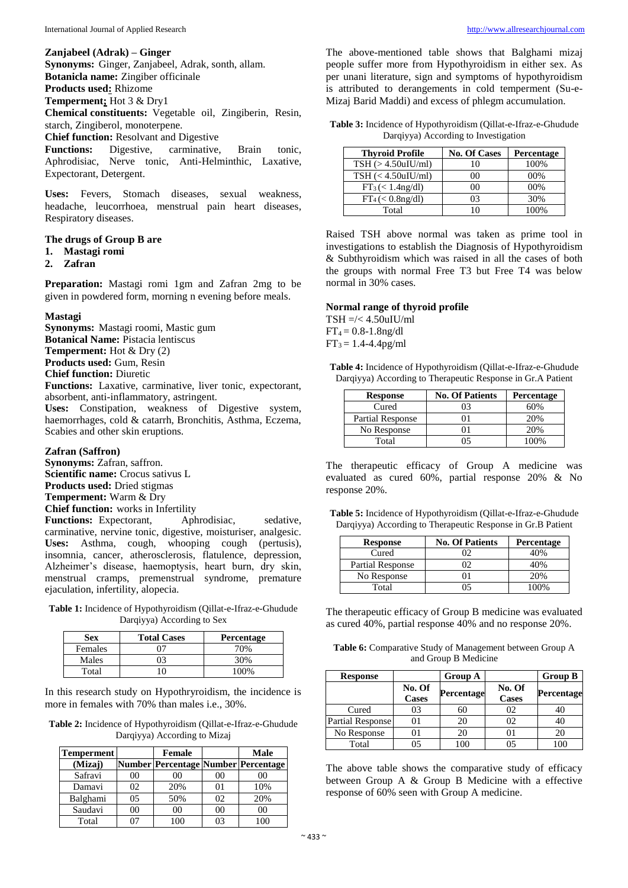**Zanjabeel (Adrak) – Ginger**

**Synonyms:** Ginger, Zanjabeel, Adrak, sonth, allam.

**Botanicla name:** Zingiber officinale

**Products used:** Rhizome

**Temperment;** Hot 3 & Dry1

**Chemical constituents:** Vegetable oil, Zingiberin, Resin, starch, Zingiberol, monoterpene.

**Chief function:** Resolvant and Digestive

**Functions:** Digestive, carminative, Brain tonic, Aphrodisiac, Nerve tonic, Anti-Helminthic, Laxative, Expectorant, Detergent.

**Uses:** Fevers, Stomach diseases, sexual weakness, headache, leucorrhoea, menstrual pain heart diseases, Respiratory diseases.

#### **The drugs of Group B are**

- **1. Mastagi romi**
- **2. Zafran**

**Preparation:** Mastagi romi 1gm and Zafran 2mg to be given in powdered form, morning n evening before meals.

#### **Mastagi**

**Synonyms:** Mastagi roomi, Mastic gum **Botanical Name:** Pistacia lentiscus **Temperment:** Hot & Dry (2) **Products used:** Gum, Resin **Chief function:** Diuretic **Functions:** Laxative, carminative, liver tonic, expectorant, absorbent, anti-inflammatory, astringent.

**Uses:** Constipation, weakness of Digestive system, haemorrhages, cold & catarrh, Bronchitis, Asthma, Eczema, Scabies and other skin eruptions.

#### **Zafran (Saffron)**

**Synonyms:** Zafran, saffron.

**Scientific name:** Crocus sativus L

**Products used:** Dried stigmas

**Temperment:** Warm & Dry

**Chief function:** works in Infertility

Functions: Expectorant, Aphrodisiac, sedative, carminative, nervine tonic, digestive, moisturiser, analgesic. **Uses:** Asthma, cough, whooping cough (pertusis), insomnia, cancer, atherosclerosis, flatulence, depression, Alzheimer's disease, haemoptysis, heart burn, dry skin, menstrual cramps, premenstrual syndrome, premature ejaculation, infertility, alopecia.

**Table 1:** Incidence of Hypothyroidism (Qillat-e-Ifraz-e-Ghudude Darqiyya) According to Sex

| Sex     | <b>Total Cases</b> | Percentage |
|---------|--------------------|------------|
| Females | ∩7                 | 70%        |
| Males   | 03                 | 30%        |
| Total   |                    | 100%       |

In this research study on Hypothryroidism, the incidence is more in females with 70% than males i.e., 30%.

**Table 2:** Incidence of Hypothyroidism (Qillat-e-Ifraz-e-Ghudude Darqiyya) According to Mizaj

| <b>Temperment</b> |                | <b>Female</b>                             |                | <b>Male</b>    |
|-------------------|----------------|-------------------------------------------|----------------|----------------|
| (Mizaj)           |                | Number   Percentage   Number   Percentage |                |                |
| Safravi           | 00             | 00                                        | 00             | 00             |
| Damavi            | 02             | 20%                                       | 01             | 10%            |
| Balghami          | 0 <sub>5</sub> | 50%                                       | 02             | 20%            |
| Saudavi           | 0 <sup>0</sup> | 0 <sup>0</sup>                            | 0 <sup>0</sup> | 0 <sup>0</sup> |
| Total             |                |                                           | በ3             | 100            |

The above-mentioned table shows that Balghami mizaj people suffer more from Hypothyroidism in either sex. As per unani literature, sign and symptoms of hypothyroidism is attributed to derangements in cold temperment (Su-e-Mizaj Barid Maddi) and excess of phlegm accumulation.

**Table 3:** Incidence of Hypothyroidism (Qillat-e-Ifraz-e-Ghudude Darqiyya) According to Investigation

| <b>Thyroid Profile</b>       | <b>No. Of Cases</b> | <b>Percentage</b> |
|------------------------------|---------------------|-------------------|
| $TSH$ ( $>$ 4.50 $u$ IU/ml)  | 10                  | 100%              |
| $TSH \leqslant 4.50$ uIU/ml) | 00                  | 00%               |
| $FT_3 \, (< 1.4$ ng/dl)      | oο                  | 00%               |
| $FT_4 \left( < 0.8$ ng/dl)   | 03                  | 30%               |
| Total                        | 10                  | 100%              |

Raised TSH above normal was taken as prime tool in investigations to establish the Diagnosis of Hypothyroidism & Subthyroidism which was raised in all the cases of both the groups with normal Free T3 but Free T4 was below normal in 30% cases.

#### **Normal range of thyroid profile**

 $TSH = \leq 4.50$ uIU/ml  $FT_4 = 0.8 - 1.8$ ng/dl  $FT_3 = 1.4 - 4.4$  pg/ml

**Table 4:** Incidence of Hypothyroidism (Qillat-e-Ifraz-e-Ghudude Darqiyya) According to Therapeutic Response in Gr.A Patient

| <b>Response</b>         | <b>No. Of Patients</b> | Percentage |
|-------------------------|------------------------|------------|
| Cured                   |                        | 60%        |
| <b>Partial Response</b> |                        | 20%        |
| No Response             |                        | 20%        |
| Total                   |                        | 100%       |

The therapeutic efficacy of Group A medicine was evaluated as cured 60%, partial response 20% & No response 20%.

**Table 5:** Incidence of Hypothyroidism (Qillat-e-Ifraz-e-Ghudude Darqiyya) According to Therapeutic Response in Gr.B Patient

| <b>Response</b>         | <b>No. Of Patients</b> | <b>Percentage</b> |
|-------------------------|------------------------|-------------------|
| Cured                   |                        | 40%               |
| <b>Partial Response</b> |                        | 40%               |
| No Response             |                        | 20%               |
| Total                   |                        | 00%               |

The therapeutic efficacy of Group B medicine was evaluated as cured 40%, partial response 40% and no response 20%.

**Table 6:** Comparative Study of Management between Group A and Group B Medicine

| <b>Response</b>  |                        | <b>Group A</b> |                        | <b>Group B</b>    |
|------------------|------------------------|----------------|------------------------|-------------------|
|                  | No. Of<br><b>Cases</b> | Percentage     | No. Of<br><b>Cases</b> | <b>Percentage</b> |
| Cured            | 03                     | 60             | 02                     | 40                |
| Partial Response | 01                     | 20             | 02                     | 40                |
| No Response      | 01                     | 20             |                        | 20                |
| Total            | 05                     | 100            | 05                     | 100               |

The above table shows the comparative study of efficacy between Group A & Group B Medicine with a effective response of 60% seen with Group A medicine.